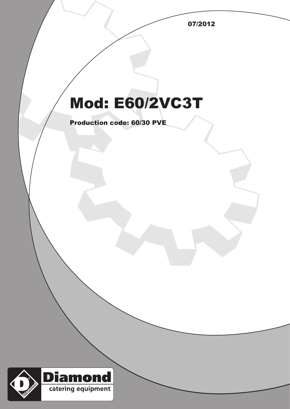07/2012

## Mod: E60/2VC3T

Production code: 60/30 PVE